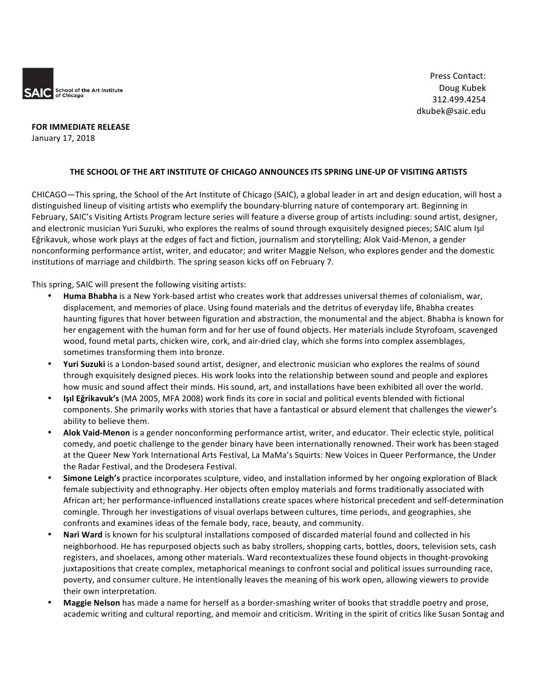

**FOR IMMEDIATE RELEASE** January 17, 2018

### THE SCHOOL OF THE ART INSTITUTE OF CHICAGO ANNOUNCES ITS SPRING LINE-UP OF VISITING ARTISTS

CHICAGO—This spring, the School of the Art Institute of Chicago (SAIC), a global leader in art and design education, will host a distinguished lineup of visiting artists who exemplify the boundary-blurring nature of contemporary art. Beginning in February, SAIC's Visiting Artists Program lecture series will feature a diverse group of artists including: sound artist, designer, and electronic musician Yuri Suzuki, who explores the realms of sound through exquisitely designed pieces; SAIC alum Isil Eğrikavuk, whose work plays at the edges of fact and fiction, journalism and storytelling; Alok Vaid-Menon, a gender nonconforming performance artist, writer, and educator; and writer Maggie Nelson, who explores gender and the domestic institutions of marriage and childbirth. The spring season kicks off on February 7.

This spring, SAIC will present the following visiting artists:

- **Huma Bhabha** is a New York-based artist who creates work that addresses universal themes of colonialism, war, displacement, and memories of place. Using found materials and the detritus of everyday life, Bhabha creates haunting figures that hover between figuration and abstraction, the monumental and the abject. Bhabha is known for her engagement with the human form and for her use of found objects. Her materials include Styrofoam, scavenged wood, found metal parts, chicken wire, cork, and air-dried clay, which she forms into complex assemblages, sometimes transforming them into bronze.
- Yuri Suzuki is a London-based sound artist, designer, and electronic musician who explores the realms of sound through exquisitely designed pieces. His work looks into the relationship between sound and people and explores how music and sound affect their minds. His sound, art, and installations have been exhibited all over the world.
- **Işıl Eğrikavuk's** (MA 2005, MFA 2008) work finds its core in social and political events blended with fictional components. She primarily works with stories that have a fantastical or absurd element that challenges the viewer's ability to believe them.
- Alok Vaid-Menon is a gender nonconforming performance artist, writer, and educator. Their eclectic style, political comedy, and poetic challenge to the gender binary have been internationally renowned. Their work has been staged at the Queer New York International Arts Festival, La MaMa's Squirts: New Voices in Queer Performance, the Under the Radar Festival, and the Drodesera Festival.
- Simone Leigh's practice incorporates sculpture, video, and installation informed by her ongoing exploration of Black female subjectivity and ethnography. Her objects often employ materials and forms traditionally associated with African art; her performance-influenced installations create spaces where historical precedent and self-determination comingle. Through her investigations of visual overlaps between cultures, time periods, and geographies, she confronts and examines ideas of the female body, race, beauty, and community.
- Nari Ward is known for his sculptural installations composed of discarded material found and collected in his neighborhood. He has repurposed objects such as baby strollers, shopping carts, bottles, doors, television sets, cash registers, and shoelaces, among other materials. Ward recontextualizes these found objects in thought-provoking juxtapositions that create complex, metaphorical meanings to confront social and political issues surrounding race, poverty, and consumer culture. He intentionally leaves the meaning of his work open, allowing viewers to provide their own interpretation.
- Maggie Nelson has made a name for herself as a border-smashing writer of books that straddle poetry and prose, academic writing and cultural reporting, and memoir and criticism. Writing in the spirit of critics like Susan Sontag and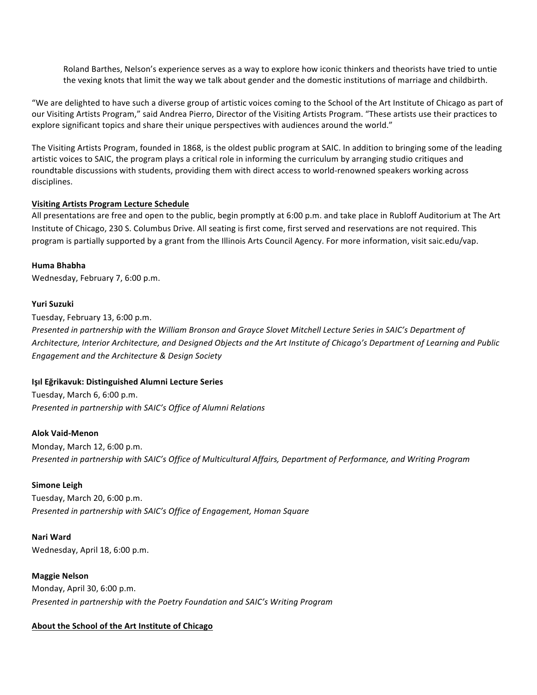Roland Barthes, Nelson's experience serves as a way to explore how iconic thinkers and theorists have tried to untie the vexing knots that limit the way we talk about gender and the domestic institutions of marriage and childbirth.

"We are delighted to have such a diverse group of artistic voices coming to the School of the Art Institute of Chicago as part of our Visiting Artists Program," said Andrea Pierro, Director of the Visiting Artists Program. "These artists use their practices to explore significant topics and share their unique perspectives with audiences around the world."

The Visiting Artists Program, founded in 1868, is the oldest public program at SAIC. In addition to bringing some of the leading artistic voices to SAIC, the program plays a critical role in informing the curriculum by arranging studio critiques and roundtable discussions with students, providing them with direct access to world-renowned speakers working across disciplines.

### **Visiting Artists Program Lecture Schedule**

All presentations are free and open to the public, begin promptly at 6:00 p.m. and take place in Rubloff Auditorium at The Art Institute of Chicago, 230 S. Columbus Drive. All seating is first come, first served and reservations are not required. This program is partially supported by a grant from the Illinois Arts Council Agency. For more information, visit saic.edu/vap.

#### **Huma Bhabha**

Wednesday, February 7, 6:00 p.m.

#### **Yuri Suzuki**

Tuesday, February 13, 6:00 p.m. *Presented in partnership with the William Bronson and Grayce Slovet Mitchell Lecture Series in SAIC's Department of* Architecture, Interior Architecture, and Designed Objects and the Art Institute of Chicago's Department of Learning and Public *Engagement and the Architecture & Design Society*

### **Işıl Eğrikavuk: Distinguished Alumni Lecture Series**

Tuesday, March 6, 6:00 p.m. *Presented in partnership with SAIC's Office of Alumni Relations* 

**Alok Vaid-Menon** Monday, March 12, 6:00 p.m. *Presented in partnership with SAIC's Office of Multicultural Affairs, Department of Performance, and Writing Program* 

## **Simone Leigh**

Tuesday, March 20, 6:00 p.m. Presented in partnership with SAIC's Office of Engagement, Homan Square

## **Nari Ward**

Wednesday, April 18, 6:00 p.m.

**Maggie Nelson**

Monday, April 30, 6:00 p.m. *Presented in partnership with the Poetry Foundation and SAIC's Writing Program* 

# **About the School of the Art Institute of Chicago**